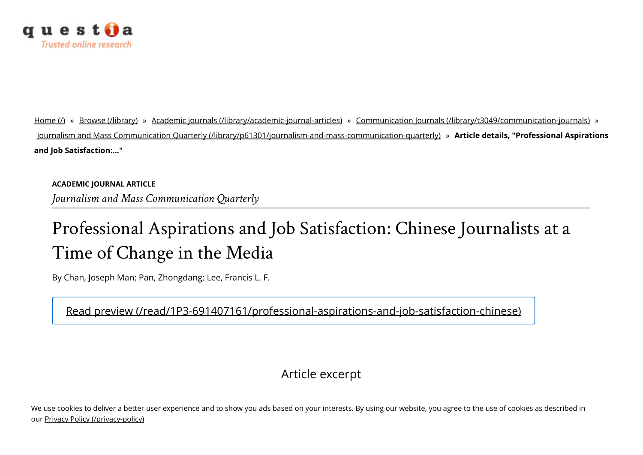

[Home](https://www.questia.com/) (/) » Browse [\(/library\)](https://www.questia.com/library) » Academic journals [\(/library/academic-journal-articles\)](https://www.questia.com/library/academic-journal-articles) » Communication Journals [\(/library/t3049/communication-journals\)](https://www.questia.com/library/t3049/communication-journals) » Journalism and Mass Communication Quarterly [\(/library/p61301/journalism-and-mass-communication-quarterly\)](https://www.questia.com/library/p61301/journalism-and-mass-communication-quarterly) » Article details, "Professional Aspirations and Job Satisfaction:..."

ACADEMIC JOURNAL ARTICLE Journalism and Mass Communication Quarterly

## Professional Aspirations and Job Satisfaction: Chinese Journalists at a Time of Change in the Media

By Chan, Joseph Man; Pan, Zhongdang; Lee, Francis L. F.

[Read preview \(/read/1P3-691407161/professional-aspirations-and-job-satisfaction-chinese\)](https://www.questia.com/read/1P3-691407161/professional-aspirations-and-job-satisfaction-chinese)

## Article excerpt

We use cookies to deliver a better user experience and to show you ads based on your interests. By using our website, you agree to the use of cookies as described in our [Privacy Policy \(/privacy-policy\)](https://www.questia.com/privacy-policy)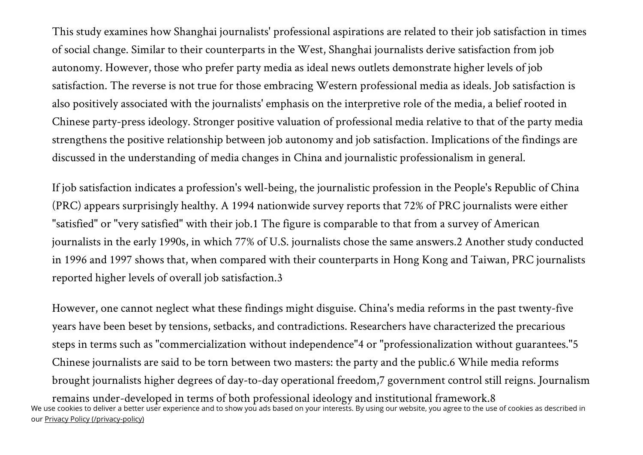This study examines how Shanghai journalists' professional aspirations are related to their job satisfaction in times of social change. Similar to their counterparts in the West, Shanghai journalists derive satisfaction from job autonomy. However, those who prefer party media as ideal news outlets demonstrate higher levels of job satisfaction. The reverse is not true for those embracing Western professional media as ideals. Job satisfaction is also positively associated with the journalists' emphasis on the interpretive role of the media, a belief rooted in Chinese party-press ideology. Stronger positive valuation of professional media relative to that of the party media strengthens the positive relationship between job autonomy and job satisfaction. Implications of the findings are discussed in the understanding of media changes in China and journalistic professionalism in general.

If job satisfaction indicates a profession's well-being, the journalistic profession in the People's Republic of China (PRC) appears surprisingly healthy. A 1994 nationwide survey reports that 72% of PRC journalists were either "satisfied" or "very satisfied" with their job.1 The figure is comparable to that from a survey of American journalists in the early 1990s, in which 77% of U.S. journalists chose the same answers.2 Another study conducted in 1996 and 1997 shows that, when compared with their counterparts in Hong Kong and Taiwan, PRC journalists reported higher levels of overall job satisfaction.3

However, one cannot neglect what these findings might disguise. China's media reforms in the past twenty-five years have been beset by tensions, setbacks, and contradictions. Researchers have characterized the precarious steps in terms such as "commercialization without independence"4 or "professionalization without guarantees."5 Chinese journalists are said to be torn between two masters: the party and the public.6 While media reforms brought journalists higher degrees of day-to-day operational freedom,7 government control still reigns. Journalism remains under-developed in terms of both professional ideology and institutional framework.8 We use cookies to deliver a better user experience and to show you ads based on your interests. By using our website, you agree to the use of cookies as described in our [Privacy Policy \(/privacy-policy\)](https://www.questia.com/privacy-policy)